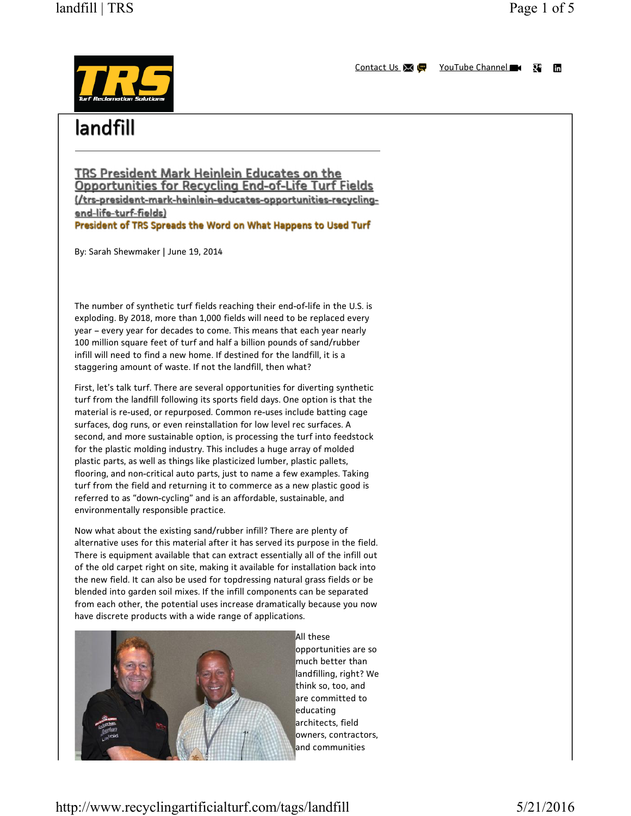# landfill | TRS Page 1 of 5



# landfill

<u>TRS President Mark Heinlein Educates on the </u> **Opportunities for Recycling End-of-Life Turf Fields** (/trs-president-mark-heinlein-educates-opportunities-recyclingend-life-turf-fields) President of TRS Spreads the Word on What Happens to Used Turf

By: Sarah Shewmaker | June 19, 2014

The number of synthetic turf fields reaching their end-of-life in the U.S. is exploding. By 2018, more than 1,000 fields will need to be replaced every year – every year for decades to come. This means that each year nearly 100 million square feet of turf and half a billion pounds of sand/rubber infill will need to find a new home. If destined for the landfill, it is a staggering amount of waste. If not the landfill, then what?

First, let's talk turf. There are several opportunities for diverting synthetic turf from the landfill following its sports field days. One option is that the material is re-used, or repurposed. Common re-uses include batting cage surfaces, dog runs, or even reinstallation for low level rec surfaces. A second, and more sustainable option, is processing the turf into feedstock for the plastic molding industry. This includes a huge array of molded plastic parts, as well as things like plasticized lumber, plastic pallets, flooring, and non-critical auto parts, just to name a few examples. Taking turf from the field and returning it to commerce as a new plastic good is referred to as "down-cycling" and is an affordable, sustainable, and environmentally responsible practice.

Now what about the existing sand/rubber infill? There are plenty of alternative uses for this material after it has served its purpose in the field. There is equipment available that can extract essentially all of the infill out of the old carpet right on site, making it available for installation back into the new field. It can also be used for topdressing natural grass fields or be blended into garden soil mixes. If the infill components can be separated from each other, the potential uses increase dramatically because you now have discrete products with a wide range of applications.



All these opportunities are so much better than landfilling, right? We think so, too, and are committed to educating architects, field owners, contractors, and communities

http://www.recyclingartificialturf.com/tags/landfill 5/21/2016

 $\overline{\mathbf{u}}$ fin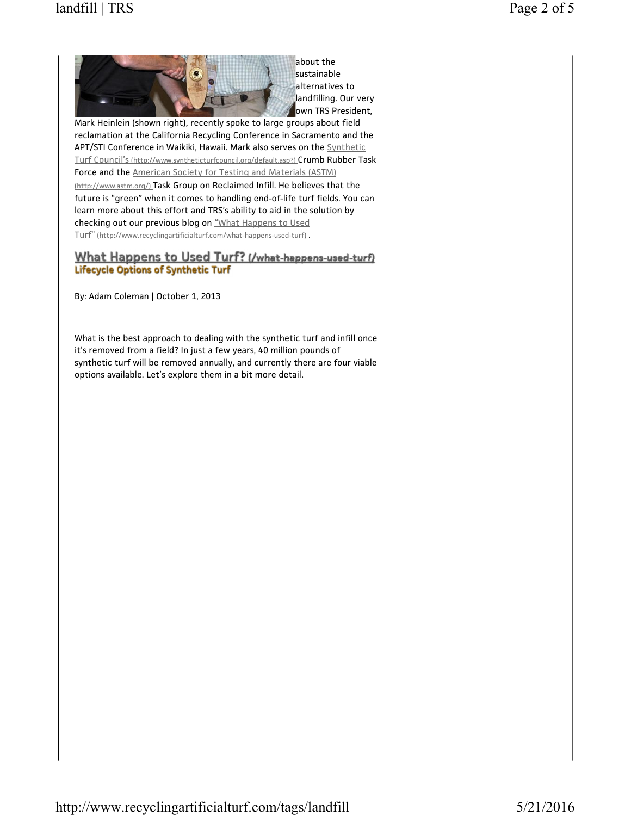

sustainable alternatives to landfilling. Our very own TRS President,

Mark Heinlein (shown right), recently spoke to large groups about field reclamation at the California Recycling Conference in Sacramento and the APT/STI Conference in Waikiki, Hawaii. Mark also serves on the Synthetic Turf Council's (http://www.syntheticturfcouncil.org/default.asp?) Crumb Rubber Task Force and the American Society for Testing and Materials (ASTM) (http://www.astm.org/) Task Group on Reclaimed Infill. He believes that the future is "green" when it comes to handling end-of-life turf fields. You can learn more about this effort and TRS's ability to aid in the solution by checking out our previous blog on "What Happens to Used Turf" (http://www.recyclingartificialturf.com/what-happens-used-turf) .

## What Happens to Used Turf? (/what-happens-used-turf) **Lifecycle Options of Synthetic Turf**

By: Adam Coleman | October 1, 2013

What is the best approach to dealing with the synthetic turf and infill once it's removed from a field? In just a few years, 40 million pounds of synthetic turf will be removed annually, and currently there are four viable options available. Let's explore them in a bit more detail.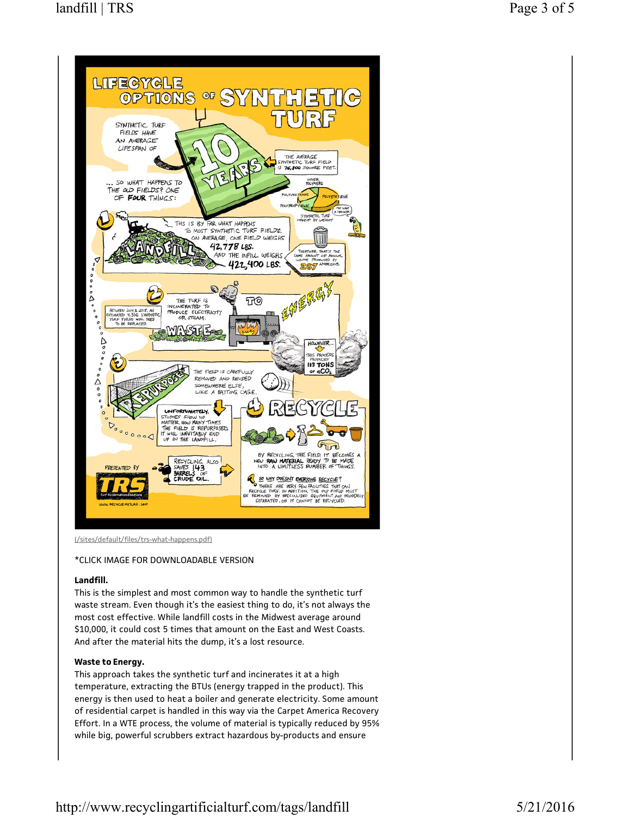

(/sites/default/files/trs-what-happens.pdf)

#### \*CLICK IMAGE FOR DOWNLOADABLE VERSION

#### Landfill.

This is the simplest and most common way to handle the synthetic turf waste stream. Even though it's the easiest thing to do, it's not always the most cost effective. While landfill costs in the Midwest average around \$10,000, it could cost 5 times that amount on the East and West Coasts. And after the material hits the dump, it's a lost resource.

### Waste to Energy.

This approach takes the synthetic turf and incinerates it at a high temperature, extracting the BTUs (energy trapped in the product). This energy is then used to heat a boiler and generate electricity. Some amount of residential carpet is handled in this way via the Carpet America Recovery Effort. In a WTE process, the volume of material is typically reduced by 95% while big, powerful scrubbers extract hazardous by-products and ensure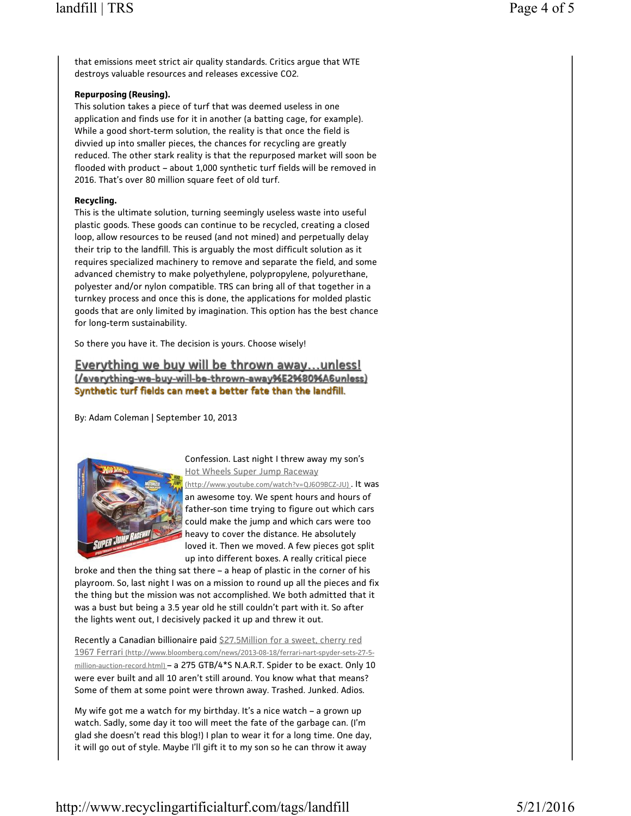that emissions meet strict air quality standards. Critics argue that WTE destroys valuable resources and releases excessive CO2.

#### Repurposing (Reusing).

This solution takes a piece of turf that was deemed useless in one application and finds use for it in another (a batting cage, for example). While a good short-term solution, the reality is that once the field is divvied up into smaller pieces, the chances for recycling are greatly reduced. The other stark reality is that the repurposed market will soon be flooded with product – about 1,000 synthetic turf fields will be removed in 2016. That's over 80 million square feet of old turf.

#### Recycling.

This is the ultimate solution, turning seemingly useless waste into useful plastic goods. These goods can continue to be recycled, creating a closed loop, allow resources to be reused (and not mined) and perpetually delay their trip to the landfill. This is arguably the most difficult solution as it requires specialized machinery to remove and separate the field, and some advanced chemistry to make polyethylene, polypropylene, polyurethane, polyester and/or nylon compatible. TRS can bring all of that together in a turnkey process and once this is done, the applications for molded plastic goods that are only limited by imagination. This option has the best chance for long-term sustainability.

So there you have it. The decision is yours. Choose wisely!

Everything we buy will be thrown away...unless! (/everything-we-buy-will-be-thrown-away%E2%80%A6unless) Synthetic turf fields can meet a better fate than the landfill.

By: Adam Coleman | September 10, 2013



Confession. Last night I threw away my son's Hot Wheels Super Jump Raceway

(http://www.youtube.com/watch?v=QJ6O9BCZ-JU) . It was an awesome toy. We spent hours and hours of father-son time trying to figure out which cars could make the jump and which cars were too heavy to cover the distance. He absolutely loved it. Then we moved. A few pieces got split up into different boxes. A really critical piece

broke and then the thing sat there – a heap of plastic in the corner of his playroom. So, last night I was on a mission to round up all the pieces and fix the thing but the mission was not accomplished. We both admitted that it was a bust but being a 3.5 year old he still couldn't part with it. So after the lights went out, I decisively packed it up and threw it out.

Recently a Canadian billionaire paid \$27.5Million for a sweet, cherry red 1967 Ferrari (http://www.bloomberg.com/news/2013-08-18/ferrari-nart-spyder-sets-27-5 million-auction-record.html) - a 275 GTB/4\*S N.A.R.T. Spider to be exact. Only 10 were ever built and all 10 aren't still around. You know what that means? Some of them at some point were thrown away. Trashed. Junked. Adios.

My wife got me a watch for my birthday. It's a nice watch – a grown up watch. Sadly, some day it too will meet the fate of the garbage can. (I'm glad she doesn't read this blog!) I plan to wear it for a long time. One day, it will go out of style. Maybe I'll gift it to my son so he can throw it away